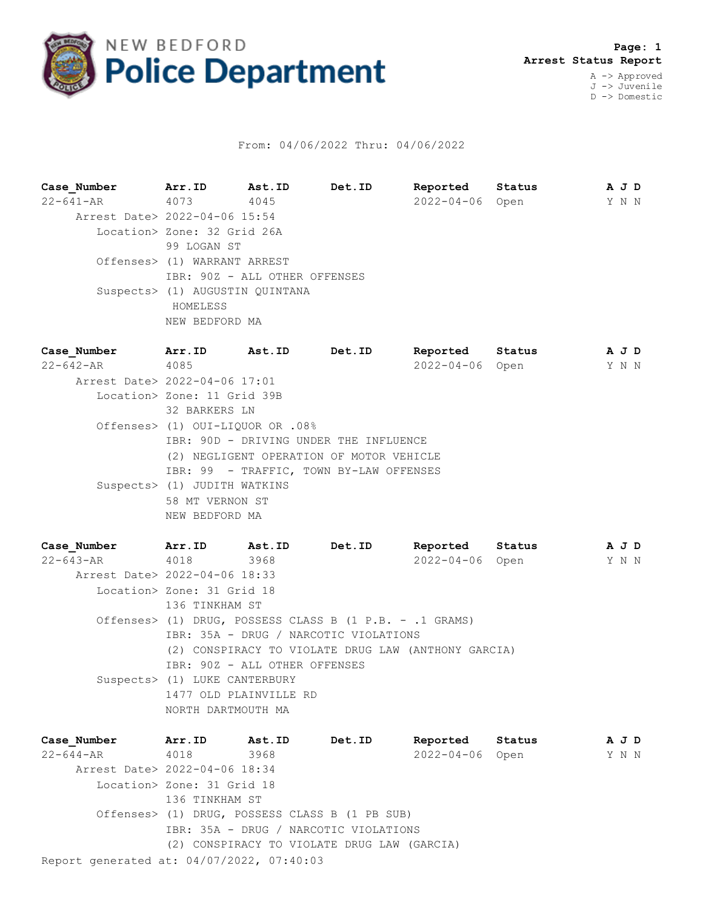

## From: 04/06/2022 Thru: 04/06/2022

**Case\_Number Arr.ID Ast.ID Det.ID Reported Status A J D** 22-641-AR 4073 4045 2022-04-06 Open Y N N Arrest Date> 2022-04-06 15:54 Location> Zone: 32 Grid 26A 99 LOGAN ST Offenses> (1) WARRANT ARREST IBR: 90Z - ALL OTHER OFFENSES Suspects> (1) AUGUSTIN QUINTANA HOMELESS NEW BEDFORD MA

**Case\_Number Arr.ID Ast.ID Det.ID Reported Status A J D** 22-642-AR 4085 2022-04-06 Open Y N N Arrest Date> 2022-04-06 17:01 Location> Zone: 11 Grid 39B 32 BARKERS LN Offenses> (1) OUI-LIQUOR OR .08% IBR: 90D - DRIVING UNDER THE INFLUENCE (2) NEGLIGENT OPERATION OF MOTOR VEHICLE IBR: 99 - TRAFFIC, TOWN BY-LAW OFFENSES Suspects> (1) JUDITH WATKINS 58 MT VERNON ST NEW BEDFORD MA

**Case\_Number Arr.ID Ast.ID Det.ID Reported Status A J D** 22-643-AR 4018 3968 2022-04-06 Open Y N N Arrest Date> 2022-04-06 18:33 Location> Zone: 31 Grid 18 136 TINKHAM ST Offenses> (1) DRUG, POSSESS CLASS B (1 P.B. - .1 GRAMS) IBR: 35A - DRUG / NARCOTIC VIOLATIONS (2) CONSPIRACY TO VIOLATE DRUG LAW (ANTHONY GARCIA) IBR: 90Z - ALL OTHER OFFENSES Suspects> (1) LUKE CANTERBURY 1477 OLD PLAINVILLE RD NORTH DARTMOUTH MA

Report generated at: 04/07/2022, 07:40:03 **Case\_Number Arr.ID Ast.ID Det.ID Reported Status A J D** 22-644-AR 4018 3968 2022-04-06 Open Y N N Arrest Date> 2022-04-06 18:34 Location> Zone: 31 Grid 18 136 TINKHAM ST Offenses> (1) DRUG, POSSESS CLASS B (1 PB SUB) IBR: 35A - DRUG / NARCOTIC VIOLATIONS (2) CONSPIRACY TO VIOLATE DRUG LAW (GARCIA)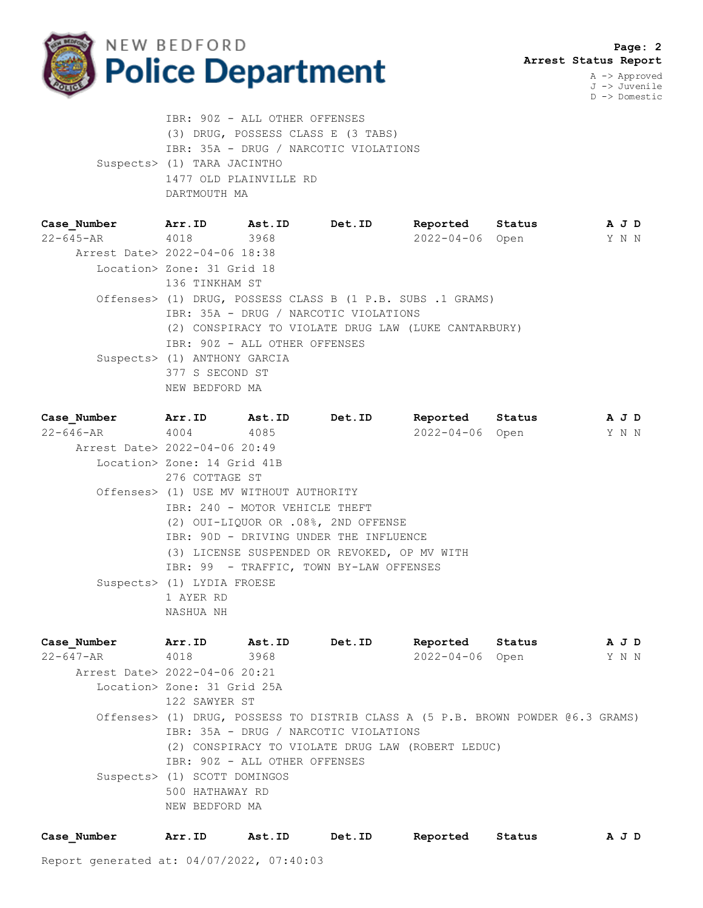

J -> Juvenile D -> Domestic

 IBR: 90Z - ALL OTHER OFFENSES (3) DRUG, POSSESS CLASS E (3 TABS) IBR: 35A - DRUG / NARCOTIC VIOLATIONS Suspects> (1) TARA JACINTHO 1477 OLD PLAINVILLE RD DARTMOUTH MA

| Case Number                   | Arr.ID                       | Ast.ID                        | Det.ID                                                     | Reported        | Status | A J D |  |
|-------------------------------|------------------------------|-------------------------------|------------------------------------------------------------|-----------------|--------|-------|--|
| 22-645-AR 4018                |                              | 3968                          |                                                            | 2022-04-06 Open |        | Y N N |  |
| Arrest Date> 2022-04-06 18:38 |                              |                               |                                                            |                 |        |       |  |
|                               | Location> Zone: 31 Grid 18   |                               |                                                            |                 |        |       |  |
|                               | 136 TINKHAM ST               |                               |                                                            |                 |        |       |  |
|                               |                              |                               | Offenses> (1) DRUG, POSSESS CLASS B (1 P.B. SUBS .1 GRAMS) |                 |        |       |  |
|                               |                              |                               | IBR: 35A - DRUG / NARCOTIC VIOLATIONS                      |                 |        |       |  |
|                               |                              |                               | (2) CONSPIRACY TO VIOLATE DRUG LAW (LUKE CANTARBURY)       |                 |        |       |  |
|                               |                              | IBR: 90Z - ALL OTHER OFFENSES |                                                            |                 |        |       |  |
|                               | Suspects> (1) ANTHONY GARCIA |                               |                                                            |                 |        |       |  |
|                               | 377 S SECOND ST              |                               |                                                            |                 |        |       |  |
|                               | NEW BEDFORD MA               |                               |                                                            |                 |        |       |  |

| Case Number                   | Arr.ID Ast.ID                          | Det.ID                                       |                 | Reported Status | A J D |  |
|-------------------------------|----------------------------------------|----------------------------------------------|-----------------|-----------------|-------|--|
| 22-646-AR 4004 4085           |                                        |                                              | 2022-04-06 Open |                 | Y N N |  |
| Arrest Date> 2022-04-06 20:49 |                                        |                                              |                 |                 |       |  |
|                               | Location> Zone: 14 Grid 41B            |                                              |                 |                 |       |  |
|                               | 276 COTTAGE ST                         |                                              |                 |                 |       |  |
|                               | Offenses> (1) USE MV WITHOUT AUTHORITY |                                              |                 |                 |       |  |
|                               | IBR: 240 - MOTOR VEHICLE THEFT         |                                              |                 |                 |       |  |
|                               |                                        | (2) OUI-LIQUOR OR .08%, 2ND OFFENSE          |                 |                 |       |  |
|                               |                                        | IBR: 90D - DRIVING UNDER THE INFLUENCE       |                 |                 |       |  |
|                               |                                        | (3) LICENSE SUSPENDED OR REVOKED, OP MV WITH |                 |                 |       |  |
|                               |                                        | IBR: 99 - TRAFFIC, TOWN BY-LAW OFFENSES      |                 |                 |       |  |
|                               | Suspects> (1) LYDIA FROESE             |                                              |                 |                 |       |  |
|                               | 1 AYER RD                              |                                              |                 |                 |       |  |
|                               | NASHUA NH                              |                                              |                 |                 |       |  |

**Case\_Number Arr.ID Ast.ID Det.ID Reported Status A J D** 22-647-AR 4018 3968 2022-04-06 Open Y N N Arrest Date> 2022-04-06 20:21 Location> Zone: 31 Grid 25A 122 SAWYER ST Offenses> (1) DRUG, POSSESS TO DISTRIB CLASS A (5 P.B. BROWN POWDER @6.3 GRAMS) IBR: 35A - DRUG / NARCOTIC VIOLATIONS (2) CONSPIRACY TO VIOLATE DRUG LAW (ROBERT LEDUC) IBR: 90Z - ALL OTHER OFFENSES Suspects> (1) SCOTT DOMINGOS 500 HATHAWAY RD NEW BEDFORD MA